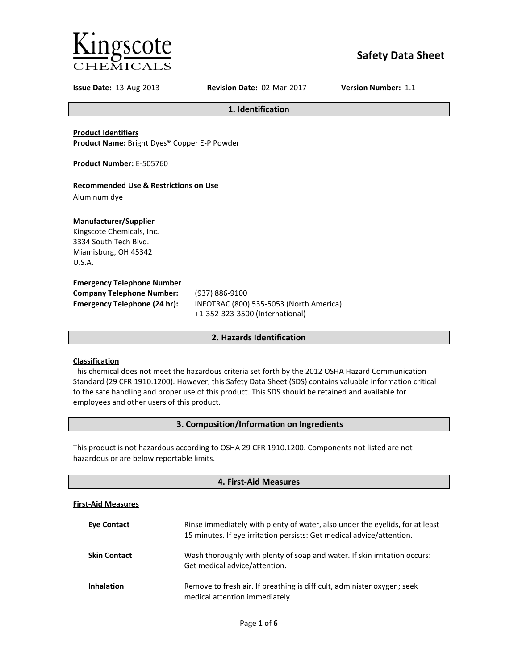

# **Safety Data Sheet**

**Issue Date:** 13-Aug-2013 **Revision Date:** 02-Mar-2017 **Version Number:** 1.1

**1. Identification**

**Product Identifiers**

**Product Name:** Bright Dyes® Copper E-P Powder

**Product Number:** E-505760

# **Recommended Use & Restrictions on Use**

Aluminum dye

# **Manufacturer/Supplier**

Kingscote Chemicals, Inc. 3334 South Tech Blvd. Miamisburg, OH 45342 U.S.A.

# **Emergency Telephone Number**

| <b>Company Telephone Number:</b> | (937)      |
|----------------------------------|------------|
| Emergency Telephone (24 hr):     | <b>INF</b> |
|                                  |            |

**Company Telephone Number:** (937) 886-9100 **Emergency Telephone (24 hr):** INFOTRAC (800) 535-5053 (North America) +1-352-323-3500 (International)

# **2. Hazards Identification**

# **Classification**

This chemical does not meet the hazardous criteria set forth by the 2012 OSHA Hazard Communication Standard (29 CFR 1910.1200). However, this Safety Data Sheet (SDS) contains valuable information critical to the safe handling and proper use of this product. This SDS should be retained and available for employees and other users of this product.

# **3. Composition/Information on Ingredients**

This product is not hazardous according to OSHA 29 CFR 1910.1200. Components not listed are not hazardous or are below reportable limits.

| 4. First-Aid Measures     |                                                                                                                                                       |  |
|---------------------------|-------------------------------------------------------------------------------------------------------------------------------------------------------|--|
| <b>First-Aid Measures</b> |                                                                                                                                                       |  |
| <b>Eve Contact</b>        | Rinse immediately with plenty of water, also under the eyelids, for at least<br>15 minutes. If eye irritation persists: Get medical advice/attention. |  |
| <b>Skin Contact</b>       | Wash thoroughly with plenty of soap and water. If skin irritation occurs:<br>Get medical advice/attention.                                            |  |
| <b>Inhalation</b>         | Remove to fresh air. If breathing is difficult, administer oxygen; seek<br>medical attention immediately.                                             |  |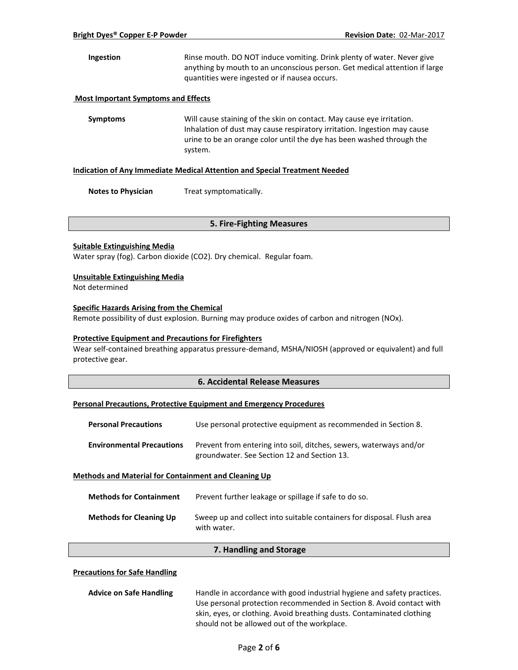**Ingestion** Rinse mouth. DO NOT induce vomiting. Drink plenty of water. Never give anything by mouth to an unconscious person. Get medical attention if large quantities were ingested or if nausea occurs.

### **Most Important Symptoms and Effects**

**Symptoms** Will cause staining of the skin on contact. May cause eye irritation. Inhalation of dust may cause respiratory irritation. Ingestion may cause urine to be an orange color until the dye has been washed through the system.

#### **Indication of Any Immediate Medical Attention and Special Treatment Needed**

**Notes to Physician** Treat symptomatically.

### **5. Fire-Fighting Measures**

### **Suitable Extinguishing Media**

Water spray (fog). Carbon dioxide (CO2). Dry chemical. Regular foam.

### **Unsuitable Extinguishing Media**

Not determined

# **Specific Hazards Arising from the Chemical**

Remote possibility of dust explosion. Burning may produce oxides of carbon and nitrogen (NOx).

### **Protective Equipment and Precautions for Firefighters**

Wear self-contained breathing apparatus pressure-demand, MSHA/NIOSH (approved or equivalent) and full protective gear.

# **6. Accidental Release Measures**

### **Personal Precautions, Protective Equipment and Emergency Procedures**

| <b>Personal Precautions</b>                                 | Use personal protective equipment as recommended in Section 8.                                                    |
|-------------------------------------------------------------|-------------------------------------------------------------------------------------------------------------------|
| <b>Environmental Precautions</b>                            | Prevent from entering into soil, ditches, sewers, waterways and/or<br>groundwater. See Section 12 and Section 13. |
| <b>Methods and Material for Containment and Cleaning Up</b> |                                                                                                                   |

| <b>Methods for Containment</b> | Prevent further leakage or spillage if safe to do so.                                 |
|--------------------------------|---------------------------------------------------------------------------------------|
| <b>Methods for Cleaning Up</b> | Sweep up and collect into suitable containers for disposal. Flush area<br>with water. |

### **7. Handling and Storage**

### **Precautions for Safe Handling**

| <b>Advice on Safe Handling</b> | Handle in accordance with good industrial hygiene and safety practices. |  |
|--------------------------------|-------------------------------------------------------------------------|--|
|                                | Use personal protection recommended in Section 8. Avoid contact with    |  |
|                                | skin, eyes, or clothing. Avoid breathing dusts. Contaminated clothing   |  |
|                                | should not be allowed out of the workplace.                             |  |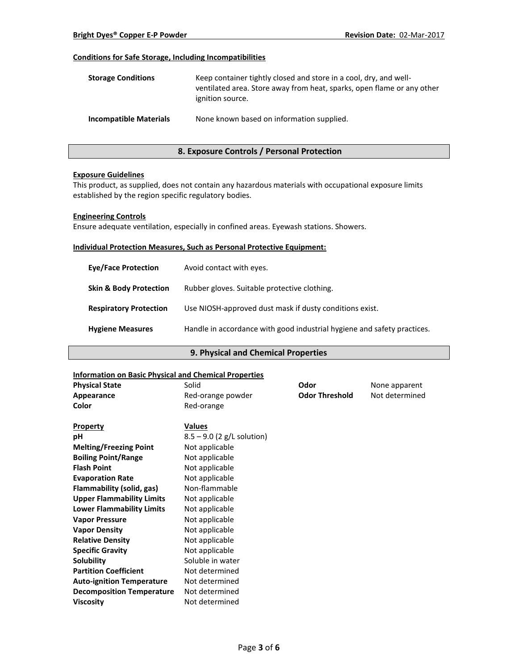# **Conditions for Safe Storage, Including Incompatibilities**

| <b>Storage Conditions</b>     | Keep container tightly closed and store in a cool, dry, and well-<br>ventilated area. Store away from heat, sparks, open flame or any other<br>ignition source. |
|-------------------------------|-----------------------------------------------------------------------------------------------------------------------------------------------------------------|
| <b>Incompatible Materials</b> | None known based on information supplied.                                                                                                                       |

# **8. Exposure Controls / Personal Protection**

### **Exposure Guidelines**

This product, as supplied, does not contain any hazardous materials with occupational exposure limits established by the region specific regulatory bodies.

### **Engineering Controls**

Ensure adequate ventilation, especially in confined areas. Eyewash stations. Showers.

### **Individual Protection Measures, Such as Personal Protective Equipment:**

| <b>Eve/Face Protection</b>        | Avoid contact with eyes.                                                |
|-----------------------------------|-------------------------------------------------------------------------|
| <b>Skin &amp; Body Protection</b> | Rubber gloves. Suitable protective clothing.                            |
| <b>Respiratory Protection</b>     | Use NIOSH-approved dust mask if dusty conditions exist.                 |
| <b>Hygiene Measures</b>           | Handle in accordance with good industrial hygiene and safety practices. |

# **9. Physical and Chemical Properties**

# **Information on Basic Physical and Chemical Properties**

| <b>Physical State</b>            | Solid                        | Odor                  | None apparent  |
|----------------------------------|------------------------------|-----------------------|----------------|
| Appearance                       | Red-orange powder            | <b>Odor Threshold</b> | Not determined |
| Color                            | Red-orange                   |                       |                |
|                                  |                              |                       |                |
| <b>Property</b>                  | <b>Values</b>                |                       |                |
| pH                               | $8.5 - 9.0$ (2 g/L solution) |                       |                |
| <b>Melting/Freezing Point</b>    | Not applicable               |                       |                |
| <b>Boiling Point/Range</b>       | Not applicable               |                       |                |
| <b>Flash Point</b>               | Not applicable               |                       |                |
| <b>Evaporation Rate</b>          | Not applicable               |                       |                |
| Flammability (solid, gas)        | Non-flammable                |                       |                |
| <b>Upper Flammability Limits</b> | Not applicable               |                       |                |
| <b>Lower Flammability Limits</b> | Not applicable               |                       |                |
| <b>Vapor Pressure</b>            | Not applicable               |                       |                |
| <b>Vapor Density</b>             | Not applicable               |                       |                |
| <b>Relative Density</b>          | Not applicable               |                       |                |
| <b>Specific Gravity</b>          | Not applicable               |                       |                |
| Solubility                       | Soluble in water             |                       |                |
| <b>Partition Coefficient</b>     | Not determined               |                       |                |
| <b>Auto-ignition Temperature</b> | Not determined               |                       |                |
| <b>Decomposition Temperature</b> | Not determined               |                       |                |
| <b>Viscosity</b>                 | Not determined               |                       |                |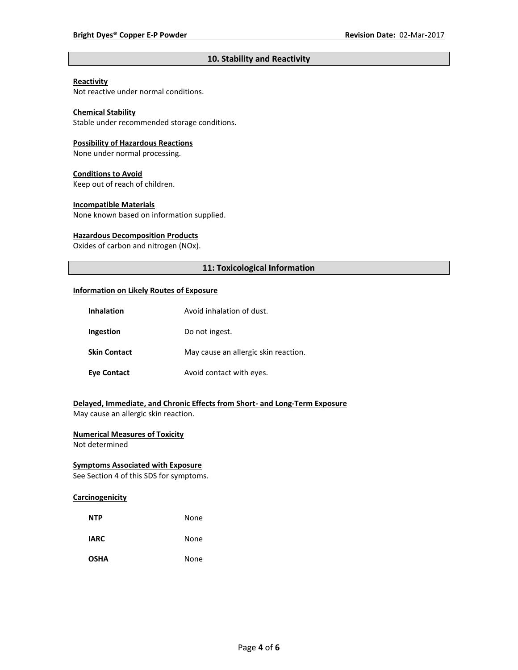# **10. Stability and Reactivity**

# **Reactivity**

Not reactive under normal conditions.

# **Chemical Stability**

Stable under recommended storage conditions.

#### **Possibility of Hazardous Reactions**

None under normal processing.

#### **Conditions to Avoid**

Keep out of reach of children.

### **Incompatible Materials**

None known based on information supplied.

#### **Hazardous Decomposition Products**

Oxides of carbon and nitrogen (NOx).

# **11: Toxicological Information**

#### **Information on Likely Routes of Exposure**

| <b>Inhalation</b>   | Avoid inhalation of dust.            |
|---------------------|--------------------------------------|
| Ingestion           | Do not ingest.                       |
| <b>Skin Contact</b> | May cause an allergic skin reaction. |
| <b>Eye Contact</b>  | Avoid contact with eyes.             |

# **Delayed, Immediate, and Chronic Effects from Short- and Long-Term Exposure**

May cause an allergic skin reaction.

# **Numerical Measures of Toxicity**

Not determined

# **Symptoms Associated with Exposure**

See Section 4 of this SDS for symptoms.

# **Carcinogenicity**

| <b>NTP</b>  | None |
|-------------|------|
| <b>IARC</b> | None |
| <b>OSHA</b> | None |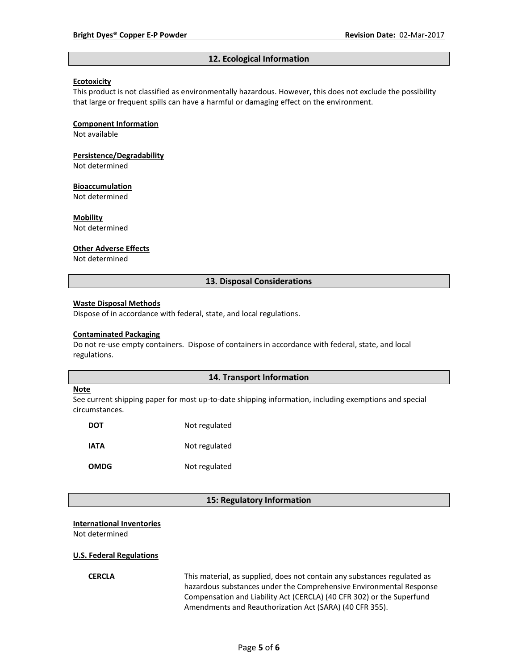#### **12. Ecological Information**

### **Ecotoxicity**

This product is not classified as environmentally hazardous. However, this does not exclude the possibility that large or frequent spills can have a harmful or damaging effect on the environment.

#### **Component Information**

Not available

# **Persistence/Degradability**

Not determined

#### **Bioaccumulation**

Not determined

#### **Mobility**

Not determined

#### **Other Adverse Effects**

Not determined

### **13. Disposal Considerations**

#### **Waste Disposal Methods**

Dispose of in accordance with federal, state, and local regulations.

#### **Contaminated Packaging**

Do not re-use empty containers.Dispose of containers in accordance with federal, state, and local regulations.

### **14. Transport Information**

#### **Note**

See current shipping paper for most up-to-date shipping information, including exemptions and special circumstances.

| DOT         | Not regulated |
|-------------|---------------|
| IATA        | Not regulated |
| <b>OMDG</b> | Not regulated |

#### **15: Regulatory Information**

#### **International Inventories**

Not determined

#### **U.S. Federal Regulations**

**CERCLA** This material, as supplied, does not contain any substances regulated as hazardous substances under the Comprehensive Environmental Response Compensation and Liability Act (CERCLA) (40 CFR 302) or the Superfund Amendments and Reauthorization Act (SARA) (40 CFR 355).